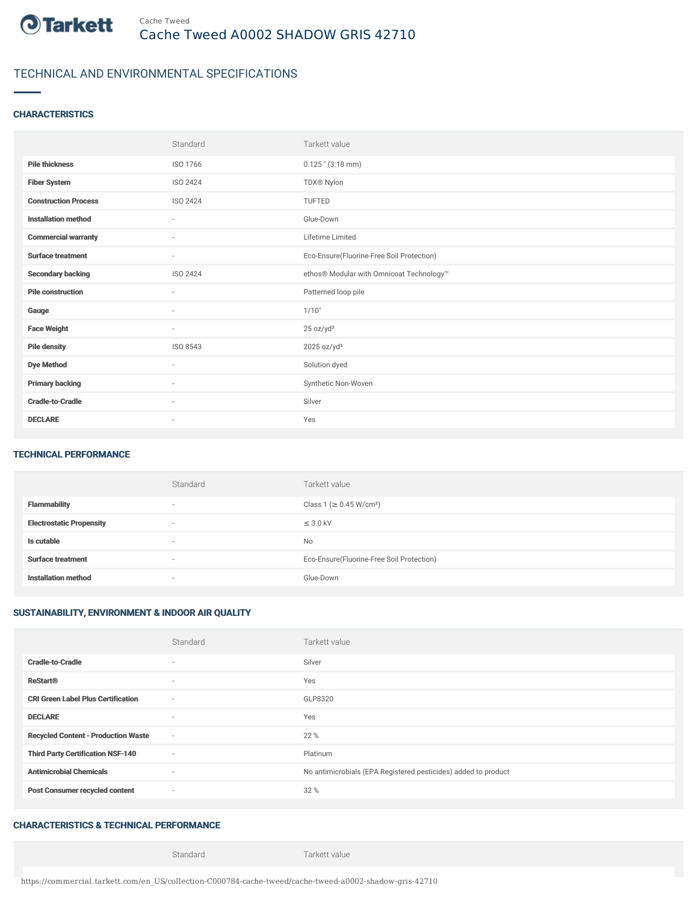

# TECHNICAL AND ENVIRONMENTAL SPECIFICATIONS

### **CHARACTERISTICS**

|                             | Standard                 | Tarkett value                             |
|-----------------------------|--------------------------|-------------------------------------------|
| <b>Pile thickness</b>       | ISO 1766                 | $0.125$ " $(3.18$ mm)                     |
| <b>Fiber System</b>         | ISO 2424                 | TDX® Nylon                                |
| <b>Construction Process</b> | ISO 2424                 | <b>TUFTED</b>                             |
| <b>Installation method</b>  | $\sim$                   | Glue-Down                                 |
| <b>Commercial warranty</b>  | $\sim$                   | Lifetime Limited                          |
| <b>Surface treatment</b>    | $\overline{\phantom{a}}$ | Eco-Ensure(Fluorine-Free Soil Protection) |
| <b>Secondary backing</b>    | ISO 2424                 | ethos® Modular with Omnicoat Technology™  |
| <b>Pile construction</b>    | $\sim$                   | Patterned loop pile                       |
| Gauge                       | $\overline{\phantom{a}}$ | 1/10"                                     |
| <b>Face Weight</b>          | $\sim$                   | 25 oz/yd <sup>2</sup>                     |
| <b>Pile density</b>         | ISO 8543                 | $2025$ oz/yd <sup>3</sup>                 |
| <b>Dye Method</b>           | $\sim$                   | Solution dyed                             |
| <b>Primary backing</b>      | ×                        | Synthetic Non-Woven                       |
| <b>Cradle-to-Cradle</b>     | ٠                        | Silver                                    |
| <b>DECLARE</b>              | $\overline{\phantom{a}}$ | Yes                                       |

#### TECHNICAL PERFORMANCE

|                                 | Standard                 | Tarkett value                             |
|---------------------------------|--------------------------|-------------------------------------------|
| <b>Flammability</b>             |                          | Class 1 (≥ 0.45 W/cm <sup>2</sup> )       |
| <b>Electrostatic Propensity</b> | $\overline{\phantom{a}}$ | $\leq$ 3.0 kV                             |
| Is cutable                      | ۰                        | No                                        |
| <b>Surface treatment</b>        | $\overline{\phantom{a}}$ | Eco-Ensure(Fluorine-Free Soil Protection) |
| <b>Installation method</b>      |                          | Glue-Down                                 |

## SUSTAINABILITY, ENVIRONMENT & INDOOR AIR QUALITY

|                                            | Standard                 | Tarkett value                                                  |
|--------------------------------------------|--------------------------|----------------------------------------------------------------|
| <b>Cradle-to-Cradle</b>                    | ٠                        | Silver                                                         |
| <b>ReStart®</b>                            | $\sim$                   | Yes                                                            |
| <b>CRI Green Label Plus Certification</b>  | $\overline{\phantom{a}}$ | GLP8320                                                        |
| <b>DECLARE</b>                             | $\sim$                   | Yes                                                            |
| <b>Recycled Content - Production Waste</b> | $\sim$                   | 22 %                                                           |
| <b>Third Party Certification NSF-140</b>   | $\sim$                   | Platinum                                                       |
| <b>Antimicrobial Chemicals</b>             | $\sim$                   | No antimicrobials (EPA Registered pesticides) added to product |
| <b>Post Consumer recycled content</b>      | $\sim$                   | 32 %                                                           |

### CHARACTERISTICS & TECHNICAL PERFORMANCE

Standard Tarkett value